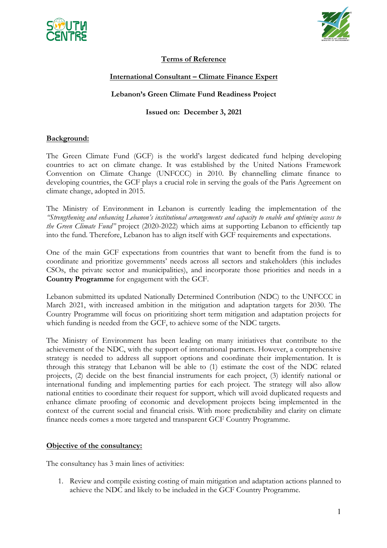



# **Terms of Reference**

# **International Consultant – Climate Finance Expert**

## **Lebanon's Green Climate Fund Readiness Project**

## **Issued on: December 3, 2021**

## **Background:**

The Green Climate Fund (GCF) is the world's largest dedicated fund helping developing countries to act on climate change. It was established by the United Nations Framework Convention on Climate Change (UNFCCC) in 2010. By channelling climate finance to developing countries, the GCF plays a crucial role in serving the goals of the Paris Agreement on climate change, adopted in 2015.

The Ministry of Environment in Lebanon is currently leading the implementation of the *"Strengthening and enhancing Lebanon's institutional arrangements and capacity to enable and optimize access to the Green Climate Fund"* project (2020-2022) which aims at supporting Lebanon to efficiently tap into the fund. Therefore, Lebanon has to align itself with GCF requirements and expectations.

One of the main GCF expectations from countries that want to benefit from the fund is to coordinate and prioritize governments' needs across all sectors and stakeholders (this includes CSOs, the private sector and municipalities), and incorporate those priorities and needs in a **Country Programme** for engagement with the GCF.

Lebanon submitted its updated Nationally Determined Contribution (NDC) to the UNFCCC in March 2021, with increased ambition in the mitigation and adaptation targets for 2030. The Country Programme will focus on prioritizing short term mitigation and adaptation projects for which funding is needed from the GCF, to achieve some of the NDC targets.

The Ministry of Environment has been leading on many initiatives that contribute to the achievement of the NDC, with the support of international partners. However, a comprehensive strategy is needed to address all support options and coordinate their implementation. It is through this strategy that Lebanon will be able to (1) estimate the cost of the NDC related projects, (2) decide on the best financial instruments for each project, (3) identify national or international funding and implementing parties for each project. The strategy will also allow national entities to coordinate their request for support, which will avoid duplicated requests and enhance climate proofing of economic and development projects being implemented in the context of the current social and financial crisis. With more predictability and clarity on climate finance needs comes a more targeted and transparent GCF Country Programme.

#### **Objective of the consultancy:**

The consultancy has 3 main lines of activities:

1. Review and compile existing costing of main mitigation and adaptation actions planned to achieve the NDC and likely to be included in the GCF Country Programme.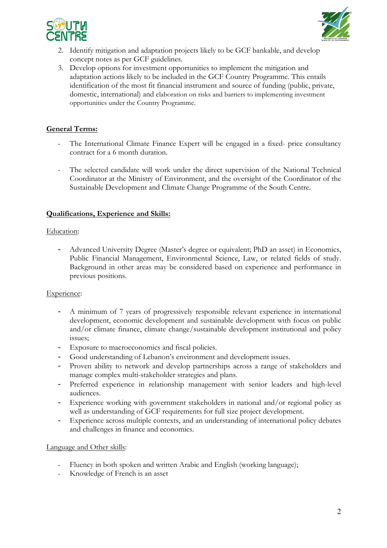



- 2. Identify mitigation and adaptation projects likely to be GCF bankable, and develop concept notes as per GCF guidelines.
- 3. Develop options for investment opportunities to implement the mitigation and adaptation actions likely to be included in the GCF Country Programme. This entails identification of the most fit financial instrument and source of funding (public, private, domestic, international) and elaboration on risks and barriers to implementing investment opportunities under the Country Programme.

# **General Terms:**

- The International Climate Finance Expert will be engaged in a fixed- price consultancy contract for a 6 month duration.
- The selected candidate will work under the direct supervision of the National Technical Coordinator at the Ministry of Environment, and the oversight of the Coordinator of the Sustainable Development and Climate Change Programme of the South Centre.

# **Qualifications, Experience and Skills:**

## Education:

- Advanced University Degree (Master's degree or equivalent; PhD an asset) in Economics, Public Financial Management, Environmental Science, Law, or related fields of study. Background in other areas may be considered based on experience and performance in previous positions.

# Experience:

- A minimum of 7 years of progressively responsible relevant experience in international development, economic development and sustainable development with focus on public and/or climate finance, climate change/sustainable development institutional and policy issues;
- Exposure to macroeconomics and fiscal policies.
- Good understanding of Lebanon's environment and development issues.
- Proven ability to network and develop partnerships across a range of stakeholders and manage complex multi-stakeholder strategies and plans.
- Preferred experience in relationship management with senior leaders and high-level audiences.
- Experience working with government stakeholders in national and/or regional policy as well as understanding of GCF requirements for full size project development.
- Experience across multiple contexts, and an understanding of international policy debates and challenges in finance and economics.

#### Language and Other skills:

- Fluency in both spoken and written Arabic and English (working language);
- Knowledge of French is an asset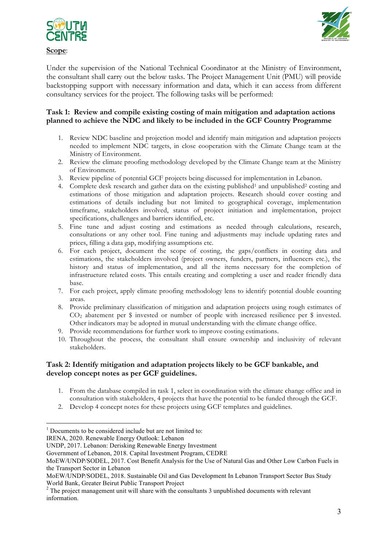



Under the supervision of the National Technical Coordinator at the Ministry of Environment, the consultant shall carry out the below tasks. The Project Management Unit (PMU) will provide backstopping support with necessary information and data, which it can access from different consultancy services for the project. The following tasks will be performed:

## **Task 1: Review and compile existing costing of main mitigation and adaptation actions planned to achieve the NDC and likely to be included in the GCF Country Programme**

- 1. Review NDC baseline and projection model and identify main mitigation and adaptation projects needed to implement NDC targets, in close cooperation with the Climate Change team at the Ministry of Environment.
- 2. Review the climate proofing methodology developed by the Climate Change team at the Ministry of Environment.
- 3. Review pipeline of potential GCF projects being discussed for implementation in Lebanon.
- 4. Complete desk research and gather data on the existing published<sup>1</sup> and unpublished<sup>2</sup> costing and estimations of those mitigation and adaptation projects. Research should cover costing and estimations of details including but not limited to geographical coverage, implementation timeframe, stakeholders involved, status of project initiation and implementation, project specifications, challenges and barriers identified, etc.
- 5. Fine tune and adjust costing and estimations as needed through calculations, research, consultations or any other tool. Fine tuning and adjustments may include updating rates and prices, filling a data gap, modifying assumptions etc.
- 6. For each project, document the scope of costing, the gaps/conflicts in costing data and estimations, the stakeholders involved (project owners, funders, partners, influencers etc.), the history and status of implementation, and all the items necessary for the completion of infrastructure related costs. This entails creating and completing a user and reader friendly data base.
- 7. For each project, apply climate proofing methodology lens to identify potential double counting areas.
- 8. Provide preliminary classification of mitigation and adaptation projects using rough estimates of CO2 abatement per \$ invested or number of people with increased resilience per \$ invested. Other indicators may be adopted in mutual understanding with the climate change office.
- 9. Provide recommendations for further work to improve costing estimations.
- 10. Throughout the process, the consultant shall ensure ownership and inclusivity of relevant stakeholders.

## **Task 2: Identify mitigation and adaptation projects likely to be GCF bankable, and develop concept notes as per GCF guidelines.**

- 1. From the database compiled in task 1, select in coordination with the climate change office and in consultation with stakeholders, 4 projects that have the potential to be funded through the GCF.
- 2. Develop 4 concept notes for these projects using GCF templates and guidelines.

 $1$  Documents to be considered include but are not limited to:

IRENA, 2020. Renewable Energy Outlook: Lebanon

UNDP, 2017. Lebanon: Derisking Renewable Energy Investment

Government of Lebanon, 2018. Capital Investment Program, CEDRE

MoEW/UNDP/SODEL, 2017. Cost Benefit Analysis for the Use of Natural Gas and Other Low Carbon Fuels in the Transport Sector in Lebanon

MoEW/UNDP/SODEL, 2018. Sustainable Oil and Gas Development In Lebanon Transport Sector Bus Study World Bank, Greater Beirut Public Transport Project

 $2$  The project management unit will share with the consultants 3 unpublished documents with relevant information.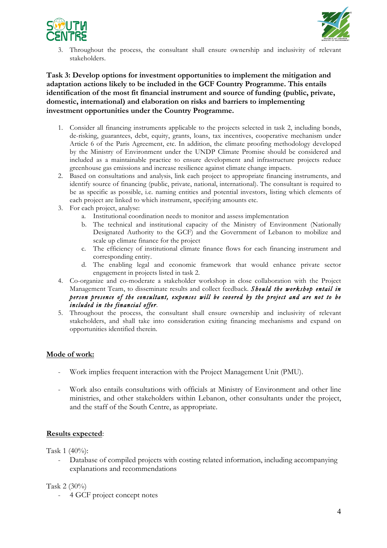



3. Throughout the process, the consultant shall ensure ownership and inclusivity of relevant stakeholders.

**Task 3: Develop options for investment opportunities to implement the mitigation and adaptation actions likely to be included in the GCF Country Programme. This entails identification of the most fit financial instrument and source of funding (public, private, domestic, international) and elaboration on risks and barriers to implementing investment opportunities under the Country Programme.**

- 1. Consider all financing instruments applicable to the projects selected in task 2, including bonds, de-risking, guarantees, debt, equity, grants, loans, tax incentives, cooperative mechanism under Article 6 of the Paris Agreement, etc. In addition, the climate proofing methodology developed by the Ministry of Environment under the UNDP Climate Promise should be considered and included as a maintainable practice to ensure development and infrastructure projects reduce greenhouse gas emissions and increase resilience against climate change impacts.
- 2. Based on consultations and analysis, link each project to appropriate financing instruments, and identify source of financing (public, private, national, international). The consultant is required to be as specific as possible, i.e. naming entities and potential investors, listing which elements of each project are linked to which instrument, specifying amounts etc.
- 3. For each project, analyse:
	- a. Institutional coordination needs to monitor and assess implementation
	- b. The technical and institutional capacity of the Ministry of Environment (Nationally Designated Authority to the GCF) and the Government of Lebanon to mobilize and scale up climate finance for the project
	- c. The efficiency of institutional climate finance flows for each financing instrument and corresponding entity.
	- d. The enabling legal and economic framework that would enhance private sector engagement in projects listed in task 2.
- 4. Co-organize and co-moderate a stakeholder workshop in close collaboration with the Project Management Team, to disseminate results and collect feedback. *Should the workshop entail in person presence of the consultant, expenses will be covered by the project and are not to be included in the financial offer*.
- 5. Throughout the process, the consultant shall ensure ownership and inclusivity of relevant stakeholders, and shall take into consideration exiting financing mechanisms and expand on opportunities identified therein.

# **Mode of work:**

- Work implies frequent interaction with the Project Management Unit (PMU).
- Work also entails consultations with officials at Ministry of Environment and other line ministries, and other stakeholders within Lebanon, other consultants under the project, and the staff of the South Centre, as appropriate.

#### **Results expected**:

Task 1 (40%):

Database of compiled projects with costing related information, including accompanying explanations and recommendations

Task 2 (30%)

- 4 GCF project concept notes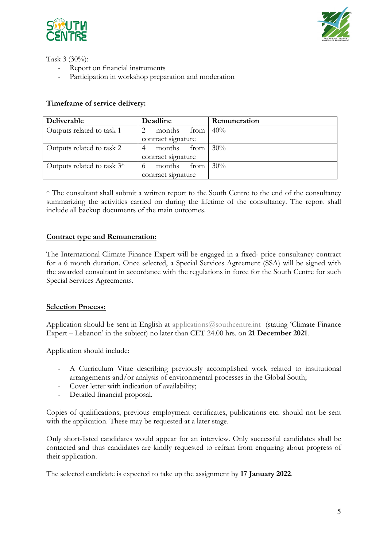



Task 3 (30%):

- Report on financial instruments
- Participation in workshop preparation and moderation

## **Timeframe of service delivery:**

| Deliverable                   | Deadline            | Remuneration |
|-------------------------------|---------------------|--------------|
| Outputs related to task 1     | months<br>from      | 40%          |
|                               | contract signature  |              |
| Outputs related to task 2     | months<br>from      | 30%          |
|                               | contract signature  |              |
| Outputs related to task $3^*$ | months<br>from<br>6 | 30%          |
|                               | contract signature  |              |

\* The consultant shall submit a written report to the South Centre to the end of the consultancy summarizing the activities carried on during the lifetime of the consultancy. The report shall include all backup documents of the main outcomes.

#### **Contract type and Remuneration:**

The International Climate Finance Expert will be engaged in a fixed- price consultancy contract for a 6 month duration. Once selected, a Special Services Agreement (SSA) will be signed with the awarded consultant in accordance with the regulations in force for the South Centre for such Special Services Agreements.

#### **Selection Process:**

Application should be sent in English at applications@southcentre.int (stating 'Climate Finance Expert – Lebanon' in the subject) no later than CET 24.00 hrs. on **21 December 2021**.

Application should include:

- A Curriculum Vitae describing previously accomplished work related to institutional arrangements and/or analysis of environmental processes in the Global South;
- Cover letter with indication of availability;
- Detailed financial proposal.

Copies of qualifications, previous employment certificates, publications etc. should not be sent with the application. These may be requested at a later stage.

Only short-listed candidates would appear for an interview. Only successful candidates shall be contacted and thus candidates are kindly requested to refrain from enquiring about progress of their application.

The selected candidate is expected to take up the assignment by **17 January 2022**.